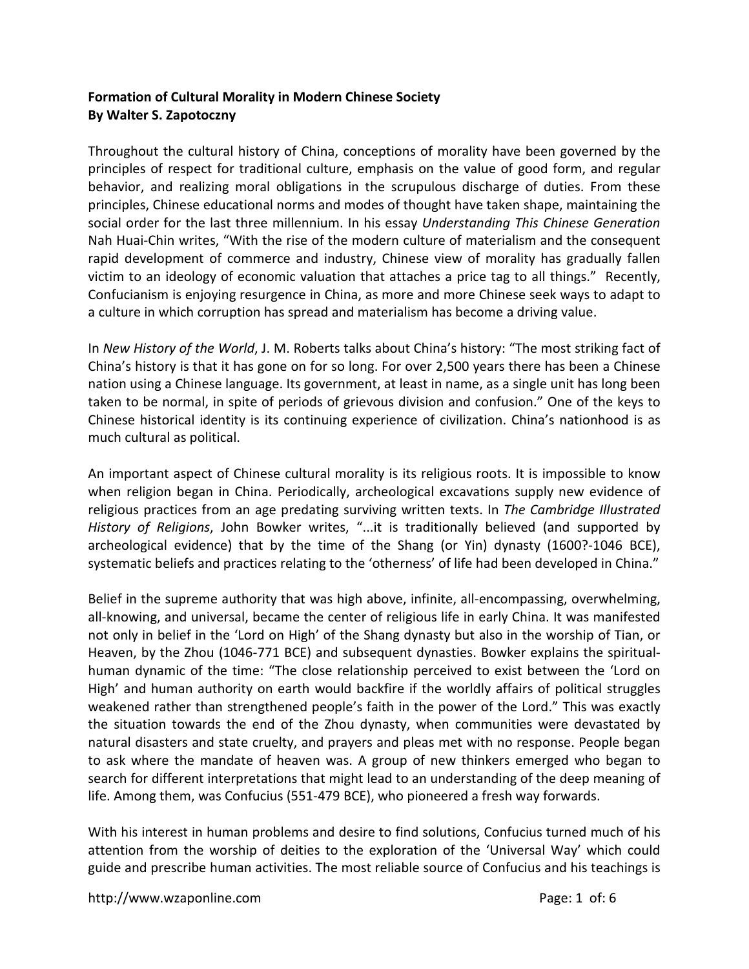## **Formation of Cultural Morality in Modern Chinese Society By Walter S. Zapotoczny**

Throughout the cultural history of China, conceptions of morality have been governed by the principles of respect for traditional culture, emphasis on the value of good form, and regular behavior, and realizing moral obligations in the scrupulous discharge of duties. From these principles, Chinese educational norms and modes of thought have taken shape, maintaining the social order for the last three millennium. In his essay *Understanding This Chinese Generation*  Nah Huai-Chin writes, "With the rise of the modern culture of materialism and the consequent rapid development of commerce and industry, Chinese view of morality has gradually fallen victim to an ideology of economic valuation that attaches a price tag to all things." Recently, Confucianism is enjoying resurgence in China, as more and more Chinese seek ways to adapt to a culture in which corruption has spread and materialism has become a driving value.

In *New History of the World*, J. M. Roberts talks about China's history: "The most striking fact of China's history is that it has gone on for so long. For over 2,500 years there has been a Chinese nation using a Chinese language. Its government, at least in name, as a single unit has long been taken to be normal, in spite of periods of grievous division and confusion." One of the keys to Chinese historical identity is its continuing experience of civilization. China's nationhood is as much cultural as political.

An important aspect of Chinese cultural morality is its religious roots. It is impossible to know when religion began in China. Periodically, archeological excavations supply new evidence of religious practices from an age predating surviving written texts. In *The Cambridge Illustrated History of Religions*, John Bowker writes, "...it is traditionally believed (and supported by archeological evidence) that by the time of the Shang (or Yin) dynasty (1600?-1046 BCE), systematic beliefs and practices relating to the 'otherness' of life had been developed in China."

Belief in the supreme authority that was high above, infinite, all-encompassing, overwhelming, all-knowing, and universal, became the center of religious life in early China. It was manifested not only in belief in the 'Lord on High' of the Shang dynasty but also in the worship of Tian, or Heaven, by the Zhou (1046-771 BCE) and subsequent dynasties. Bowker explains the spiritualhuman dynamic of the time: "The close relationship perceived to exist between the 'Lord on High' and human authority on earth would backfire if the worldly affairs of political struggles weakened rather than strengthened people's faith in the power of the Lord." This was exactly the situation towards the end of the Zhou dynasty, when communities were devastated by natural disasters and state cruelty, and prayers and pleas met with no response. People began to ask where the mandate of heaven was. A group of new thinkers emerged who began to search for different interpretations that might lead to an understanding of the deep meaning of life. Among them, was Confucius (551-479 BCE), who pioneered a fresh way forwards.

With his interest in human problems and desire to find solutions, Confucius turned much of his attention from the worship of deities to the exploration of the 'Universal Way' which could guide and prescribe human activities. The most reliable source of Confucius and his teachings is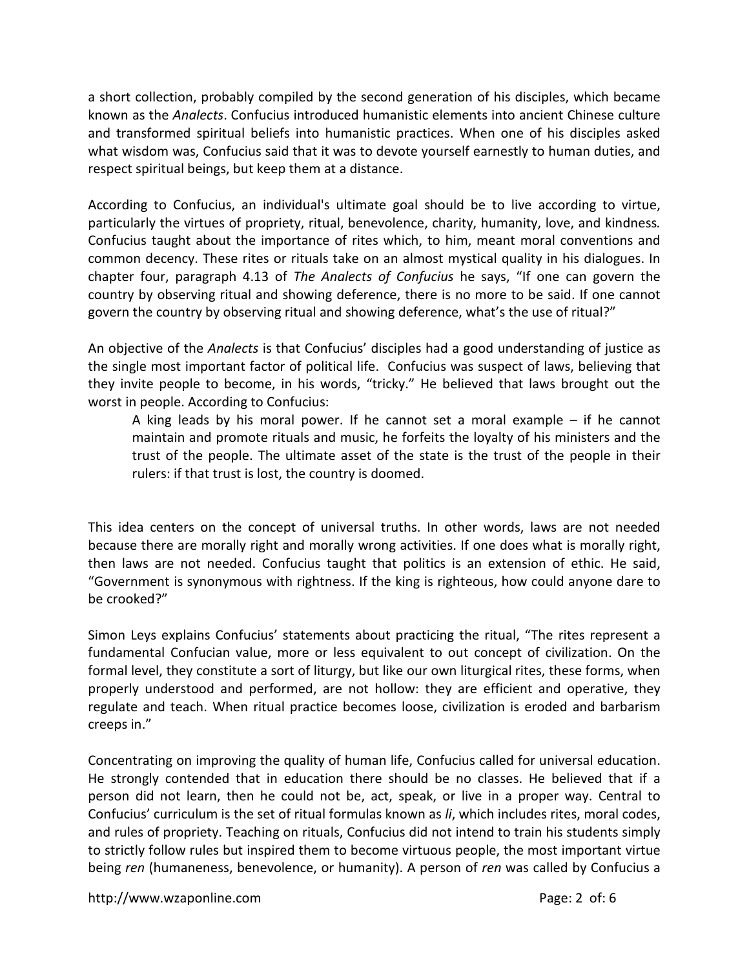a short collection, probably compiled by the second generation of his disciples, which became known as the *Analects*. Confucius introduced humanistic elements into ancient Chinese culture and transformed spiritual beliefs into humanistic practices. When one of his disciples asked what wisdom was, Confucius said that it was to devote yourself earnestly to human duties, and respect spiritual beings, but keep them at a distance.

According to Confucius, an individual's ultimate goal should be to live according to virtue, particularly the virtues of propriety, ritual, benevolence, charity, humanity, love, and kindness*.*  Confucius taught about the importance of rites which, to him, meant moral conventions and common decency. These rites or rituals take on an almost mystical quality in his dialogues. In chapter four, paragraph 4.13 of *The Analects of Confucius* he says, "If one can govern the country by observing ritual and showing deference, there is no more to be said. If one cannot govern the country by observing ritual and showing deference, what's the use of ritual?"

An objective of the *Analects* is that Confucius' disciples had a good understanding of justice as the single most important factor of political life. Confucius was suspect of laws, believing that they invite people to become, in his words, "tricky." He believed that laws brought out the worst in people. According to Confucius:

A king leads by his moral power. If he cannot set a moral example – if he cannot maintain and promote rituals and music, he forfeits the loyalty of his ministers and the trust of the people. The ultimate asset of the state is the trust of the people in their rulers: if that trust is lost, the country is doomed.

This idea centers on the concept of universal truths. In other words, laws are not needed because there are morally right and morally wrong activities. If one does what is morally right, then laws are not needed. Confucius taught that politics is an extension of ethic. He said, "Government is synonymous with rightness. If the king is righteous, how could anyone dare to be crooked?"

Simon Leys explains Confucius' statements about practicing the ritual, "The rites represent a fundamental Confucian value, more or less equivalent to out concept of civilization. On the formal level, they constitute a sort of liturgy, but like our own liturgical rites, these forms, when properly understood and performed, are not hollow: they are efficient and operative, they regulate and teach. When ritual practice becomes loose, civilization is eroded and barbarism creeps in."

Concentrating on improving the quality of human life, Confucius called for universal education. He strongly contended that in education there should be no classes. He believed that if a person did not learn, then he could not be, act, speak, or live in a proper way. Central to Confucius' curriculum is the set of ritual formulas known as *li*, which includes rites, moral codes, and rules of propriety. Teaching on rituals, Confucius did not intend to train his students simply to strictly follow rules but inspired them to become virtuous people, the most important virtue being *ren* (humaneness, benevolence, or humanity). A person of *ren* was called by Confucius a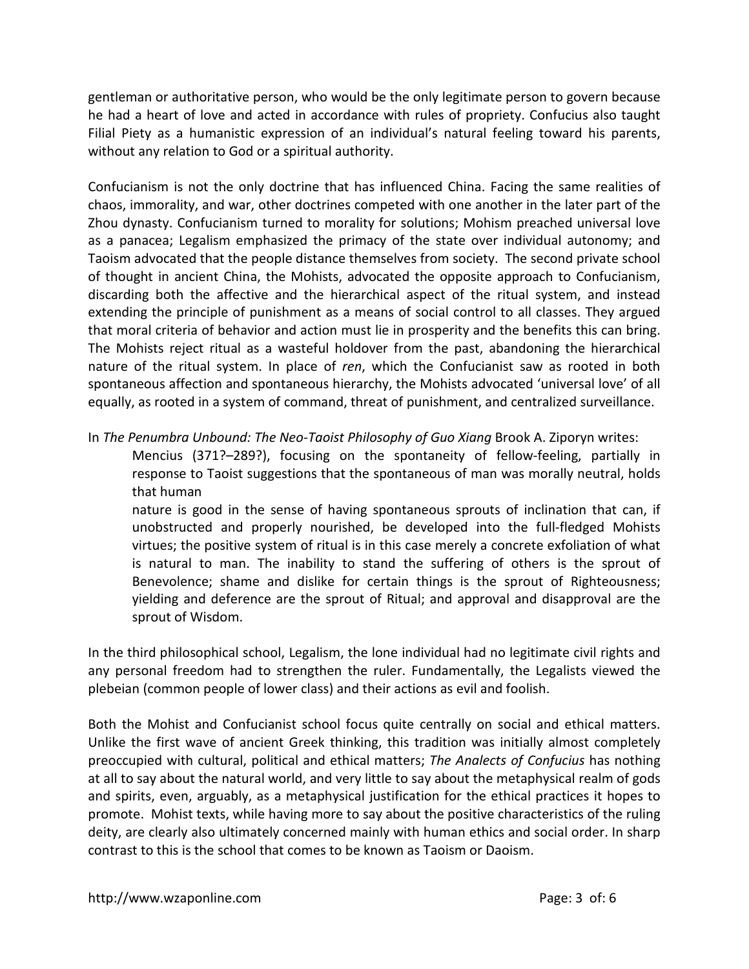gentleman or authoritative person, who would be the only legitimate person to govern because he had a heart of love and acted in accordance with rules of propriety. Confucius also taught Filial Piety as a humanistic expression of an individual's natural feeling toward his parents, without any relation to God or a spiritual authority.

Confucianism is not the only doctrine that has influenced China. Facing the same realities of chaos, immorality, and war, other doctrines competed with one another in the later part of the Zhou dynasty. Confucianism turned to morality for solutions; Mohism preached universal love as a panacea; Legalism emphasized the primacy of the state over individual autonomy; and Taoism advocated that the people distance themselves from society. The second private school of thought in ancient China, the Mohists, advocated the opposite approach to Confucianism, discarding both the affective and the hierarchical aspect of the ritual system, and instead extending the principle of punishment as a means of social control to all classes. They argued that moral criteria of behavior and action must lie in prosperity and the benefits this can bring. The Mohists reject ritual as a wasteful holdover from the past, abandoning the hierarchical nature of the ritual system. In place of *ren*, which the Confucianist saw as rooted in both spontaneous affection and spontaneous hierarchy, the Mohists advocated 'universal love' of all equally, as rooted in a system of command, threat of punishment, and centralized surveillance.

In *The Penumbra Unbound: The Neo-Taoist Philosophy of Guo Xiang* Brook A. Ziporyn writes:

Mencius (371?–289?), focusing on the spontaneity of fellow-feeling, partially in response to Taoist suggestions that the spontaneous of man was morally neutral, holds that human

nature is good in the sense of having spontaneous sprouts of inclination that can, if unobstructed and properly nourished, be developed into the full-fledged Mohists virtues; the positive system of ritual is in this case merely a concrete exfoliation of what is natural to man. The inability to stand the suffering of others is the sprout of Benevolence; shame and dislike for certain things is the sprout of Righteousness; yielding and deference are the sprout of Ritual; and approval and disapproval are the sprout of Wisdom.

In the third philosophical school, Legalism, the lone individual had no legitimate civil rights and any personal freedom had to strengthen the ruler. Fundamentally, the Legalists viewed the plebeian (common people of lower class) and their actions as evil and foolish.

Both the Mohist and Confucianist school focus quite centrally on social and ethical matters. Unlike the first wave of ancient Greek thinking, this tradition was initially almost completely preoccupied with cultural, political and ethical matters; *The Analects of Confucius* has nothing at all to say about the natural world, and very little to say about the metaphysical realm of gods and spirits, even, arguably, as a metaphysical justification for the ethical practices it hopes to promote. Mohist texts, while having more to say about the positive characteristics of the ruling deity, are clearly also ultimately concerned mainly with human ethics and social order. In sharp contrast to this is the school that comes to be known as Taoism or Daoism.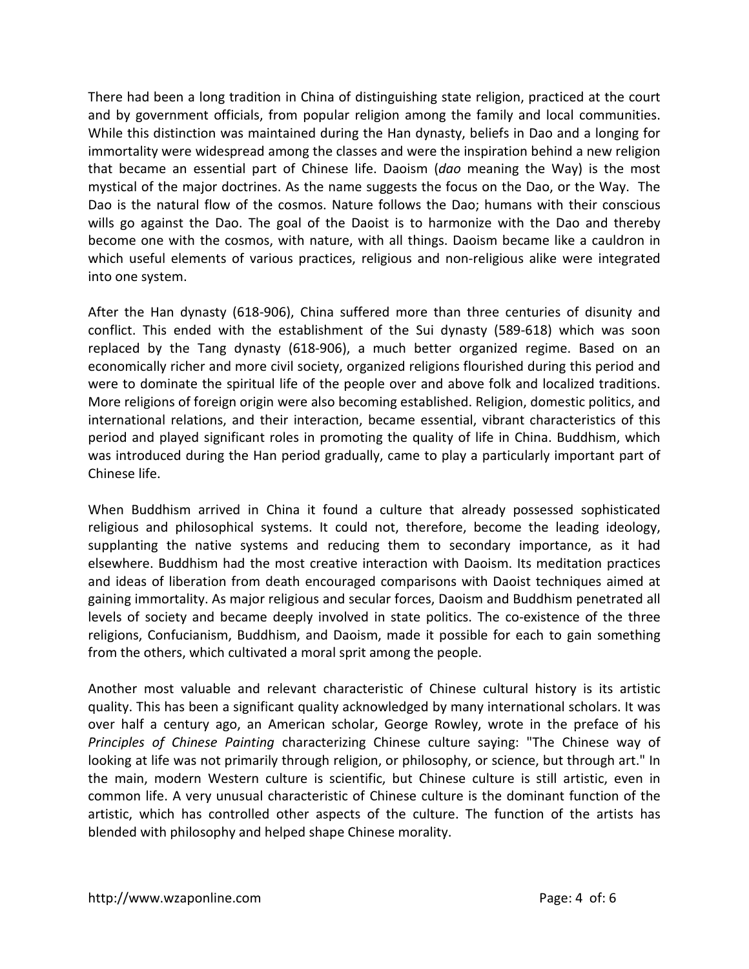There had been a long tradition in China of distinguishing state religion, practiced at the court and by government officials, from popular religion among the family and local communities. While this distinction was maintained during the Han dynasty, beliefs in Dao and a longing for immortality were widespread among the classes and were the inspiration behind a new religion that became an essential part of Chinese life. Daoism (*dao* meaning the Way) is the most mystical of the major doctrines. As the name suggests the focus on the Dao, or the Way. The Dao is the natural flow of the cosmos. Nature follows the Dao; humans with their conscious wills go against the Dao. The goal of the Daoist is to harmonize with the Dao and thereby become one with the cosmos, with nature, with all things. Daoism became like a cauldron in which useful elements of various practices, religious and non-religious alike were integrated into one system.

After the Han dynasty (618-906), China suffered more than three centuries of disunity and conflict. This ended with the establishment of the Sui dynasty (589-618) which was soon replaced by the Tang dynasty (618-906), a much better organized regime. Based on an economically richer and more civil society, organized religions flourished during this period and were to dominate the spiritual life of the people over and above folk and localized traditions. More religions of foreign origin were also becoming established. Religion, domestic politics, and international relations, and their interaction, became essential, vibrant characteristics of this period and played significant roles in promoting the quality of life in China. Buddhism, which was introduced during the Han period gradually, came to play a particularly important part of Chinese life.

When Buddhism arrived in China it found a culture that already possessed sophisticated religious and philosophical systems. It could not, therefore, become the leading ideology, supplanting the native systems and reducing them to secondary importance, as it had elsewhere. Buddhism had the most creative interaction with Daoism. Its meditation practices and ideas of liberation from death encouraged comparisons with Daoist techniques aimed at gaining immortality. As major religious and secular forces, Daoism and Buddhism penetrated all levels of society and became deeply involved in state politics. The co-existence of the three religions, Confucianism, Buddhism, and Daoism, made it possible for each to gain something from the others, which cultivated a moral sprit among the people.

Another most valuable and relevant characteristic of Chinese cultural history is its artistic quality. This has been a significant quality acknowledged by many international scholars. It was over half a century ago, an American scholar, George Rowley, wrote in the preface of his *Principles of Chinese Painting* characterizing Chinese culture saying: "The Chinese way of looking at life was not primarily through religion, or philosophy, or science, but through art." In the main, modern Western culture is scientific, but Chinese culture is still artistic, even in common life. A very unusual characteristic of Chinese culture is the dominant function of the artistic, which has controlled other aspects of the culture. The function of the artists has blended with philosophy and helped shape Chinese morality.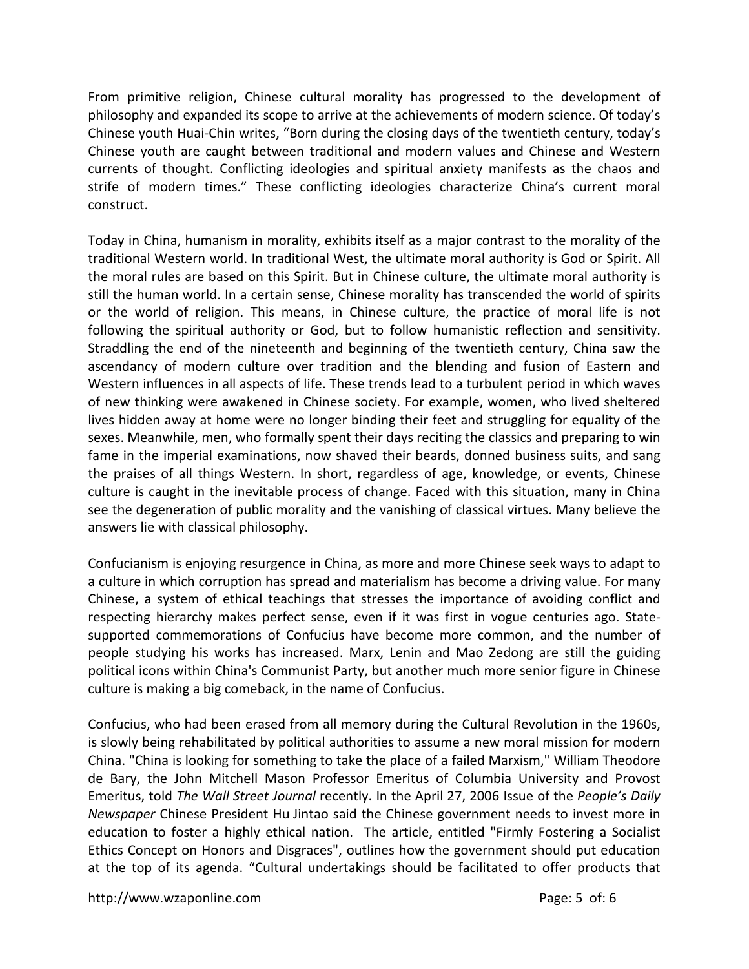From primitive religion, Chinese cultural morality has progressed to the development of philosophy and expanded its scope to arrive at the achievements of modern science. Of today's Chinese youth Huai-Chin writes, "Born during the closing days of the twentieth century, today's Chinese youth are caught between traditional and modern values and Chinese and Western currents of thought. Conflicting ideologies and spiritual anxiety manifests as the chaos and strife of modern times." These conflicting ideologies characterize China's current moral construct.

Today in China, humanism in morality, exhibits itself as a major contrast to the morality of the traditional Western world. In traditional West, the ultimate moral authority is God or Spirit. All the moral rules are based on this Spirit. But in Chinese culture, the ultimate moral authority is still the human world. In a certain sense, Chinese morality has transcended the world of spirits or the world of religion. This means, in Chinese culture, the practice of moral life is not following the spiritual authority or God, but to follow humanistic reflection and sensitivity. Straddling the end of the nineteenth and beginning of the twentieth century, China saw the ascendancy of modern culture over tradition and the blending and fusion of Eastern and Western influences in all aspects of life. These trends lead to a turbulent period in which waves of new thinking were awakened in Chinese society. For example, women, who lived sheltered lives hidden away at home were no longer binding their feet and struggling for equality of the sexes. Meanwhile, men, who formally spent their days reciting the classics and preparing to win fame in the imperial examinations, now shaved their beards, donned business suits, and sang the praises of all things Western. In short, regardless of age, knowledge, or events, Chinese culture is caught in the inevitable process of change. Faced with this situation, many in China see the degeneration of public morality and the vanishing of classical virtues. Many believe the answers lie with classical philosophy.

Confucianism is enjoying resurgence in China, as more and more Chinese seek ways to adapt to a culture in which corruption has spread and materialism has become a driving value. For many Chinese, a system of ethical teachings that stresses the importance of avoiding conflict and respecting hierarchy makes perfect sense, even if it was first in vogue centuries ago. Statesupported commemorations of Confucius have become more common, and the number of people studying his works has increased. Marx, Lenin and Mao Zedong are still the guiding political icons within China's Communist Party, but another much more senior figure in Chinese culture is making a big comeback, in the name of Confucius.

Confucius, who had been erased from all memory during the Cultural Revolution in the 1960s, is slowly being rehabilitated by political authorities to assume a new moral mission for modern China. "China is looking for something to take the place of a failed Marxism," William Theodore de Bary, the John Mitchell Mason Professor Emeritus of Columbia University and Provost Emeritus, told *The Wall Street Journal* recently. In the April 27, 2006 Issue of the *People's Daily Newspaper* Chinese President Hu Jintao said the Chinese government needs to invest more in education to foster a highly ethical nation. The article, entitled "Firmly Fostering a Socialist Ethics Concept on Honors and Disgraces", outlines how the government should put education at the top of its agenda. "Cultural undertakings should be facilitated to offer products that

http://www.wzaponline.com example and the page: 5 of: 6